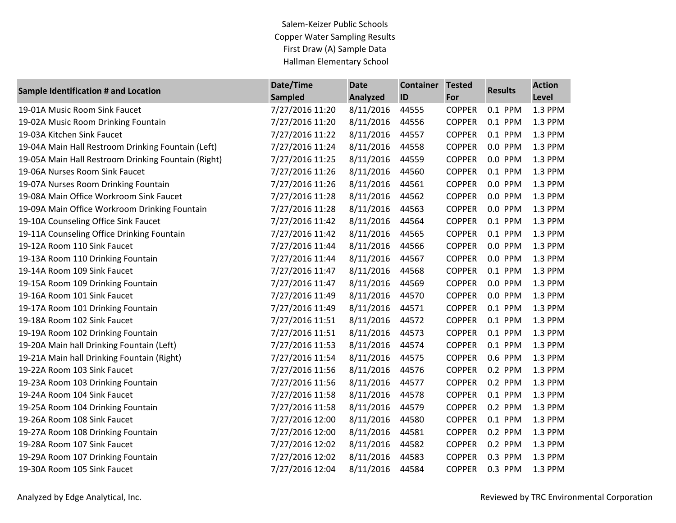Salem-Keizer Public Schools Copper Water Sampling Results First Draw (A) Sample Data Hallman Elementary School

| <b>Sample Identification # and Location</b>         | Date/Time       | <b>Date</b>     | <b>Container</b> | <b>Tested</b> | <b>Results</b> | <b>Action</b> |
|-----------------------------------------------------|-----------------|-----------------|------------------|---------------|----------------|---------------|
|                                                     | <b>Sampled</b>  | <b>Analyzed</b> | ID               | For           |                | Level         |
| 19-01A Music Room Sink Faucet                       | 7/27/2016 11:20 | 8/11/2016       | 44555            | <b>COPPER</b> | 0.1 PPM        | 1.3 PPM       |
| 19-02A Music Room Drinking Fountain                 | 7/27/2016 11:20 | 8/11/2016       | 44556            | <b>COPPER</b> | 0.1 PPM        | 1.3 PPM       |
| 19-03A Kitchen Sink Faucet                          | 7/27/2016 11:22 | 8/11/2016       | 44557            | <b>COPPER</b> | 0.1 PPM        | 1.3 PPM       |
| 19-04A Main Hall Restroom Drinking Fountain (Left)  | 7/27/2016 11:24 | 8/11/2016       | 44558            | <b>COPPER</b> | 0.0 PPM        | 1.3 PPM       |
| 19-05A Main Hall Restroom Drinking Fountain (Right) | 7/27/2016 11:25 | 8/11/2016       | 44559            | <b>COPPER</b> | 0.0 PPM        | 1.3 PPM       |
| 19-06A Nurses Room Sink Faucet                      | 7/27/2016 11:26 | 8/11/2016       | 44560            | <b>COPPER</b> | 0.1 PPM        | 1.3 PPM       |
| 19-07A Nurses Room Drinking Fountain                | 7/27/2016 11:26 | 8/11/2016       | 44561            | <b>COPPER</b> | 0.0 PPM        | 1.3 PPM       |
| 19-08A Main Office Workroom Sink Faucet             | 7/27/2016 11:28 | 8/11/2016       | 44562            | <b>COPPER</b> | 0.0 PPM        | 1.3 PPM       |
| 19-09A Main Office Workroom Drinking Fountain       | 7/27/2016 11:28 | 8/11/2016       | 44563            | <b>COPPER</b> | 0.0 PPM        | 1.3 PPM       |
| 19-10A Counseling Office Sink Faucet                | 7/27/2016 11:42 | 8/11/2016       | 44564            | <b>COPPER</b> | 0.1 PPM        | 1.3 PPM       |
| 19-11A Counseling Office Drinking Fountain          | 7/27/2016 11:42 | 8/11/2016       | 44565            | <b>COPPER</b> | 0.1 PPM        | 1.3 PPM       |
| 19-12A Room 110 Sink Faucet                         | 7/27/2016 11:44 | 8/11/2016       | 44566            | <b>COPPER</b> | 0.0 PPM        | 1.3 PPM       |
| 19-13A Room 110 Drinking Fountain                   | 7/27/2016 11:44 | 8/11/2016       | 44567            | <b>COPPER</b> | 0.0 PPM        | 1.3 PPM       |
| 19-14A Room 109 Sink Faucet                         | 7/27/2016 11:47 | 8/11/2016       | 44568            | <b>COPPER</b> | 0.1 PPM        | 1.3 PPM       |
| 19-15A Room 109 Drinking Fountain                   | 7/27/2016 11:47 | 8/11/2016       | 44569            | <b>COPPER</b> | 0.0 PPM        | 1.3 PPM       |
| 19-16A Room 101 Sink Faucet                         | 7/27/2016 11:49 | 8/11/2016       | 44570            | <b>COPPER</b> | 0.0 PPM        | 1.3 PPM       |
| 19-17A Room 101 Drinking Fountain                   | 7/27/2016 11:49 | 8/11/2016       | 44571            | <b>COPPER</b> | 0.1 PPM        | 1.3 PPM       |
| 19-18A Room 102 Sink Faucet                         | 7/27/2016 11:51 | 8/11/2016       | 44572            | <b>COPPER</b> | 0.1 PPM        | 1.3 PPM       |
| 19-19A Room 102 Drinking Fountain                   | 7/27/2016 11:51 | 8/11/2016       | 44573            | <b>COPPER</b> | 0.1 PPM        | 1.3 PPM       |
| 19-20A Main hall Drinking Fountain (Left)           | 7/27/2016 11:53 | 8/11/2016       | 44574            | <b>COPPER</b> | 0.1 PPM        | 1.3 PPM       |
| 19-21A Main hall Drinking Fountain (Right)          | 7/27/2016 11:54 | 8/11/2016       | 44575            | <b>COPPER</b> | 0.6 PPM        | 1.3 PPM       |
| 19-22A Room 103 Sink Faucet                         | 7/27/2016 11:56 | 8/11/2016       | 44576            | <b>COPPER</b> | 0.2 PPM        | 1.3 PPM       |
| 19-23A Room 103 Drinking Fountain                   | 7/27/2016 11:56 | 8/11/2016       | 44577            | <b>COPPER</b> | 0.2 PPM        | 1.3 PPM       |
| 19-24A Room 104 Sink Faucet                         | 7/27/2016 11:58 | 8/11/2016       | 44578            | <b>COPPER</b> | 0.1 PPM        | 1.3 PPM       |
| 19-25A Room 104 Drinking Fountain                   | 7/27/2016 11:58 | 8/11/2016       | 44579            | <b>COPPER</b> | 0.2 PPM        | 1.3 PPM       |
| 19-26A Room 108 Sink Faucet                         | 7/27/2016 12:00 | 8/11/2016       | 44580            | <b>COPPER</b> | 0.1 PPM        | 1.3 PPM       |
| 19-27A Room 108 Drinking Fountain                   | 7/27/2016 12:00 | 8/11/2016       | 44581            | <b>COPPER</b> | 0.2 PPM        | 1.3 PPM       |
| 19-28A Room 107 Sink Faucet                         | 7/27/2016 12:02 | 8/11/2016       | 44582            | <b>COPPER</b> | 0.2 PPM        | 1.3 PPM       |
| 19-29A Room 107 Drinking Fountain                   | 7/27/2016 12:02 | 8/11/2016       | 44583            | <b>COPPER</b> | 0.3 PPM        | 1.3 PPM       |
| 19-30A Room 105 Sink Faucet                         | 7/27/2016 12:04 | 8/11/2016       | 44584            | <b>COPPER</b> | 0.3 PPM        | 1.3 PPM       |